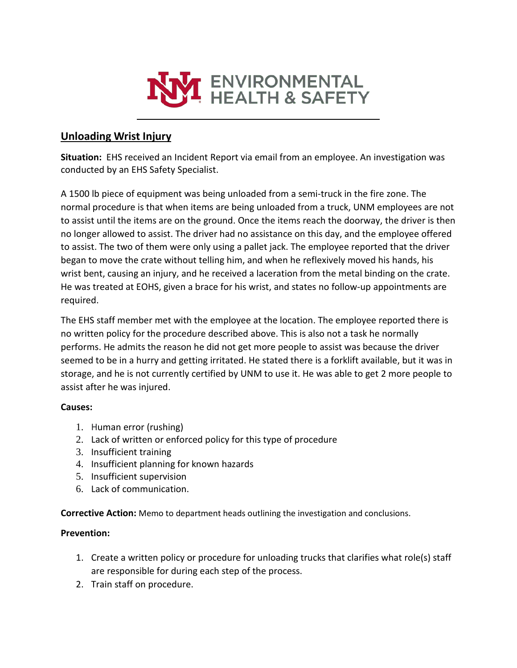

## **Unloading Wrist Injury**

**Situation:** EHS received an Incident Report via email from an employee. An investigation was conducted by an EHS Safety Specialist.

A 1500 lb piece of equipment was being unloaded from a semi-truck in the fire zone. The normal procedure is that when items are being unloaded from a truck, UNM employees are not to assist until the items are on the ground. Once the items reach the doorway, the driver is then no longer allowed to assist. The driver had no assistance on this day, and the employee offered to assist. The two of them were only using a pallet jack. The employee reported that the driver began to move the crate without telling him, and when he reflexively moved his hands, his wrist bent, causing an injury, and he received a laceration from the metal binding on the crate. He was treated at EOHS, given a brace for his wrist, and states no follow-up appointments are required.

The EHS staff member met with the employee at the location. The employee reported there is no written policy for the procedure described above. This is also not a task he normally performs. He admits the reason he did not get more people to assist was because the driver seemed to be in a hurry and getting irritated. He stated there is a forklift available, but it was in storage, and he is not currently certified by UNM to use it. He was able to get 2 more people to assist after he was injured.

## **Causes:**

- 1. Human error (rushing)
- 2. Lack of written or enforced policy for this type of procedure
- 3. Insufficient training
- 4. Insufficient planning for known hazards
- 5. Insufficient supervision
- 6. Lack of communication.

**Corrective Action:** Memo to department heads outlining the investigation and conclusions.

## **Prevention:**

- 1. Create a written policy or procedure for unloading trucks that clarifies what role(s) staff are responsible for during each step of the process.
- 2. Train staff on procedure.